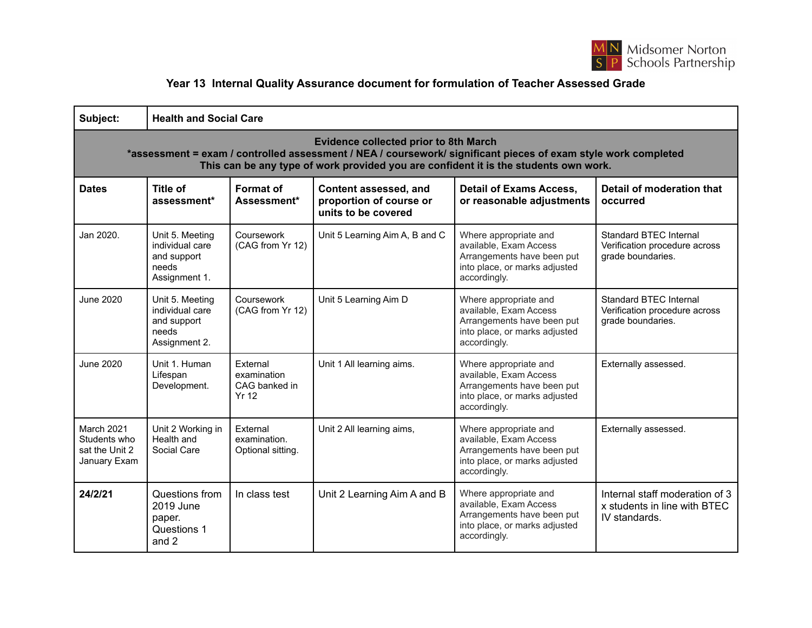

## **Year 13 Internal Quality Assurance document for formulation of Teacher Assessed Grade**

| Subject:                                                                                                                                                                                                                                               | <b>Health and Social Care</b>                                               |                                                   |                                                                         |                                                                                                                                |                                                                                     |  |  |  |  |
|--------------------------------------------------------------------------------------------------------------------------------------------------------------------------------------------------------------------------------------------------------|-----------------------------------------------------------------------------|---------------------------------------------------|-------------------------------------------------------------------------|--------------------------------------------------------------------------------------------------------------------------------|-------------------------------------------------------------------------------------|--|--|--|--|
| <b>Evidence collected prior to 8th March</b><br>*assessment = exam / controlled assessment / NEA / coursework/ significant pieces of exam style work completed<br>This can be any type of work provided you are confident it is the students own work. |                                                                             |                                                   |                                                                         |                                                                                                                                |                                                                                     |  |  |  |  |
| <b>Dates</b>                                                                                                                                                                                                                                           | <b>Title of</b><br>assessment*                                              | Format of<br>Assessment*                          | Content assessed, and<br>proportion of course or<br>units to be covered | <b>Detail of Exams Access,</b><br>or reasonable adjustments                                                                    | Detail of moderation that<br>occurred                                               |  |  |  |  |
| Jan 2020.                                                                                                                                                                                                                                              | Unit 5. Meeting<br>individual care<br>and support<br>needs<br>Assignment 1. | Coursework<br>(CAG from Yr 12)                    | Unit 5 Learning Aim A, B and C                                          | Where appropriate and<br>available, Exam Access<br>Arrangements have been put<br>into place, or marks adjusted<br>accordingly. | <b>Standard BTEC Internal</b><br>Verification procedure across<br>grade boundaries. |  |  |  |  |
| June 2020                                                                                                                                                                                                                                              | Unit 5. Meeting<br>individual care<br>and support<br>needs<br>Assignment 2. | Coursework<br>(CAG from Yr 12)                    | Unit 5 Learning Aim D                                                   | Where appropriate and<br>available. Exam Access<br>Arrangements have been put<br>into place, or marks adjusted<br>accordingly. | Standard BTEC Internal<br>Verification procedure across<br>grade boundaries.        |  |  |  |  |
| <b>June 2020</b>                                                                                                                                                                                                                                       | Unit 1. Human<br>Lifespan<br>Development.                                   | External<br>examination<br>CAG banked in<br>Yr 12 | Unit 1 All learning aims.                                               | Where appropriate and<br>available, Exam Access<br>Arrangements have been put<br>into place, or marks adjusted<br>accordingly. | Externally assessed.                                                                |  |  |  |  |
| March 2021<br>Students who<br>sat the Unit 2<br>January Exam                                                                                                                                                                                           | Unit 2 Working in<br>Health and<br>Social Care                              | External<br>examination.<br>Optional sitting.     | Unit 2 All learning aims,                                               | Where appropriate and<br>available, Exam Access<br>Arrangements have been put<br>into place, or marks adjusted<br>accordingly. | Externally assessed.                                                                |  |  |  |  |
| 24/2/21                                                                                                                                                                                                                                                | Questions from<br>2019 June<br>paper.<br>Questions 1<br>and 2               | In class test                                     | Unit 2 Learning Aim A and B                                             | Where appropriate and<br>available, Exam Access<br>Arrangements have been put<br>into place, or marks adjusted<br>accordingly. | Internal staff moderation of 3<br>x students in line with BTEC<br>IV standards.     |  |  |  |  |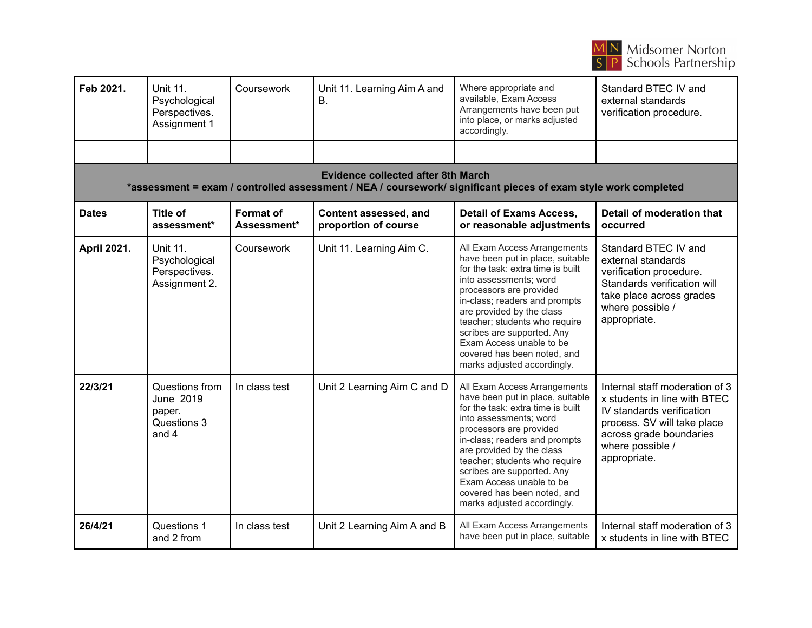

| Feb 2021.                                                                                                                                                   | <b>Unit 11.</b><br>Psychological<br>Perspectives.<br>Assignment 1  | Coursework                      | Unit 11. Learning Aim A and<br><b>B.</b>      | Where appropriate and<br>available, Exam Access<br>Arrangements have been put<br>into place, or marks adjusted<br>accordingly.                                                                                                                                                                                                                                                    | Standard BTEC IV and<br>external standards<br>verification procedure.                                                                                                                     |  |  |  |  |
|-------------------------------------------------------------------------------------------------------------------------------------------------------------|--------------------------------------------------------------------|---------------------------------|-----------------------------------------------|-----------------------------------------------------------------------------------------------------------------------------------------------------------------------------------------------------------------------------------------------------------------------------------------------------------------------------------------------------------------------------------|-------------------------------------------------------------------------------------------------------------------------------------------------------------------------------------------|--|--|--|--|
|                                                                                                                                                             |                                                                    |                                 |                                               |                                                                                                                                                                                                                                                                                                                                                                                   |                                                                                                                                                                                           |  |  |  |  |
| <b>Evidence collected after 8th March</b><br>*assessment = exam / controlled assessment / NEA / coursework/ significant pieces of exam style work completed |                                                                    |                                 |                                               |                                                                                                                                                                                                                                                                                                                                                                                   |                                                                                                                                                                                           |  |  |  |  |
| <b>Dates</b>                                                                                                                                                | <b>Title of</b><br>assessment*                                     | <b>Format of</b><br>Assessment* | Content assessed, and<br>proportion of course | <b>Detail of Exams Access,</b><br>or reasonable adjustments                                                                                                                                                                                                                                                                                                                       | <b>Detail of moderation that</b><br>occurred                                                                                                                                              |  |  |  |  |
| <b>April 2021.</b>                                                                                                                                          | <b>Unit 11.</b><br>Psychological<br>Perspectives.<br>Assignment 2. | Coursework                      | Unit 11. Learning Aim C.                      | All Exam Access Arrangements<br>have been put in place, suitable<br>for the task: extra time is built<br>into assessments; word<br>processors are provided<br>in-class; readers and prompts<br>are provided by the class<br>teacher; students who require<br>scribes are supported. Any<br>Exam Access unable to be<br>covered has been noted, and<br>marks adjusted accordingly. | Standard BTEC IV and<br>external standards<br>verification procedure.<br>Standards verification will<br>take place across grades<br>where possible /<br>appropriate.                      |  |  |  |  |
| 22/3/21                                                                                                                                                     | Questions from<br>June 2019<br>paper.<br>Questions 3<br>and 4      | In class test                   | Unit 2 Learning Aim C and D                   | All Exam Access Arrangements<br>have been put in place, suitable<br>for the task: extra time is built<br>into assessments; word<br>processors are provided<br>in-class; readers and prompts<br>are provided by the class<br>teacher; students who require<br>scribes are supported. Any<br>Exam Access unable to be<br>covered has been noted, and<br>marks adjusted accordingly. | Internal staff moderation of 3<br>x students in line with BTEC<br>IV standards verification<br>process. SV will take place<br>across grade boundaries<br>where possible /<br>appropriate. |  |  |  |  |
| 26/4/21                                                                                                                                                     | Questions 1<br>and 2 from                                          | In class test                   | Unit 2 Learning Aim A and B                   | All Exam Access Arrangements<br>have been put in place, suitable                                                                                                                                                                                                                                                                                                                  | Internal staff moderation of 3<br>x students in line with BTEC                                                                                                                            |  |  |  |  |